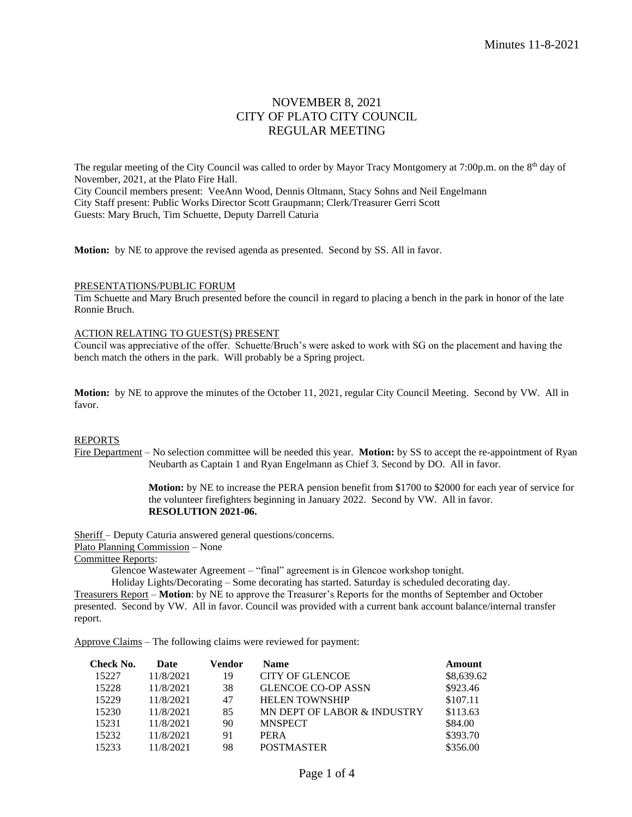# NOVEMBER 8, 2021 CITY OF PLATO CITY COUNCIL REGULAR MEETING

The regular meeting of the City Council was called to order by Mayor Tracy Montgomery at 7:00p.m. on the 8<sup>th</sup> day of November, 2021, at the Plato Fire Hall. City Council members present: VeeAnn Wood, Dennis Oltmann, Stacy Sohns and Neil Engelmann City Staff present: Public Works Director Scott Graupmann; Clerk/Treasurer Gerri Scott Guests: Mary Bruch, Tim Schuette, Deputy Darrell Caturia

**Motion:** by NE to approve the revised agenda as presented. Second by SS. All in favor.

### PRESENTATIONS/PUBLIC FORUM

Tim Schuette and Mary Bruch presented before the council in regard to placing a bench in the park in honor of the late Ronnie Bruch.

### ACTION RELATING TO GUEST(S) PRESENT

Council was appreciative of the offer. Schuette/Bruch's were asked to work with SG on the placement and having the bench match the others in the park. Will probably be a Spring project.

**Motion:** by NE to approve the minutes of the October 11, 2021, regular City Council Meeting. Second by VW. All in favor.

### REPORTS

Fire Department – No selection committee will be needed this year. **Motion:** by SS to accept the re-appointment of Ryan Neubarth as Captain 1 and Ryan Engelmann as Chief 3. Second by DO. All in favor.

> **Motion:** by NE to increase the PERA pension benefit from \$1700 to \$2000 for each year of service for the volunteer firefighters beginning in January 2022. Second by VW. All in favor. **RESOLUTION 2021-06.**

Sheriff – Deputy Caturia answered general questions/concerns. Plato Planning Commission – None

Committee Reports:

Glencoe Wastewater Agreement – "final" agreement is in Glencoe workshop tonight.

Holiday Lights/Decorating – Some decorating has started. Saturday is scheduled decorating day.

Treasurers Report – **Motion**: by NE to approve the Treasurer's Reports for the months of September and October presented. Second by VW. All in favor. Council was provided with a current bank account balance/internal transfer report.

Approve Claims – The following claims were reviewed for payment:

| Check No. | Date      | Vendor | <b>Name</b>                 | Amount     |
|-----------|-----------|--------|-----------------------------|------------|
| 15227     | 11/8/2021 | 19     | <b>CITY OF GLENCOE</b>      | \$8,639.62 |
| 15228     | 11/8/2021 | 38     | <b>GLENCOE CO-OP ASSN</b>   | \$923.46   |
| 15229     | 11/8/2021 | 47     | <b>HELEN TOWNSHIP</b>       | \$107.11   |
| 15230     | 11/8/2021 | 85     | MN DEPT OF LABOR & INDUSTRY | \$113.63   |
| 15231     | 11/8/2021 | 90     | <b>MNSPECT</b>              | \$84.00    |
| 15232     | 11/8/2021 | 91     | <b>PERA</b>                 | \$393.70   |
| 15233     | 11/8/2021 | 98     | <b>POSTMASTER</b>           | \$356.00   |
|           |           |        |                             |            |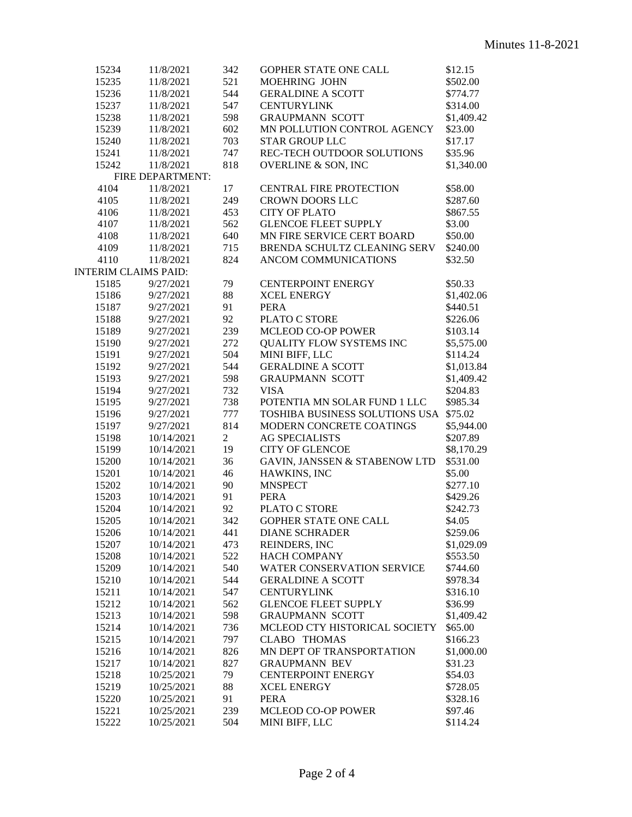| 15234                       | 11/8/2021        | 342            | GOPHER STATE ONE CALL                                                  | \$12.15    |
|-----------------------------|------------------|----------------|------------------------------------------------------------------------|------------|
| 15235                       | 11/8/2021        | 521            | MOEHRING JOHN                                                          | \$502.00   |
| 15236                       | 11/8/2021        | 544            | <b>GERALDINE A SCOTT</b>                                               | \$774.77   |
| 15237                       | 11/8/2021        | 547            | <b>CENTURYLINK</b>                                                     | \$314.00   |
| 15238                       | 11/8/2021        | 598            | <b>GRAUPMANN SCOTT</b>                                                 | \$1,409.42 |
| 15239                       | 11/8/2021        | 602            | MN POLLUTION CONTROL AGENCY                                            | \$23.00    |
| 15240                       | 11/8/2021        | 703            | <b>STAR GROUP LLC</b>                                                  | \$17.17    |
| 15241                       | 11/8/2021        | 747            | REC-TECH OUTDOOR SOLUTIONS                                             | \$35.96    |
| 15242                       | 11/8/2021        | 818            | <b>OVERLINE &amp; SON, INC</b>                                         | \$1,340.00 |
|                             | FIRE DEPARTMENT: |                |                                                                        |            |
| 4104                        | 11/8/2021        | 17             | <b>CENTRAL FIRE PROTECTION</b>                                         | \$58.00    |
| 4105                        | 11/8/2021        | 249            | <b>CROWN DOORS LLC</b>                                                 | \$287.60   |
| 4106                        | 11/8/2021        | 453            | <b>CITY OF PLATO</b>                                                   | \$867.55   |
| 4107                        | 11/8/2021        | 562            | <b>GLENCOE FLEET SUPPLY</b>                                            | \$3.00     |
| 4108                        | 11/8/2021        | 640            | MN FIRE SERVICE CERT BOARD                                             | \$50.00    |
| 4109                        | 11/8/2021        | 715            | BRENDA SCHULTZ CLEANING SERV                                           | \$240.00   |
| 4110                        | 11/8/2021        | 824            | ANCOM COMMUNICATIONS                                                   | \$32.50    |
| <b>INTERIM CLAIMS PAID:</b> |                  |                |                                                                        |            |
| 15185                       | 9/27/2021        | 79             | <b>CENTERPOINT ENERGY</b>                                              | \$50.33    |
| 15186                       | 9/27/2021        | 88             | <b>XCEL ENERGY</b>                                                     | \$1,402.06 |
| 15187                       | 9/27/2021        | 91             | <b>PERA</b>                                                            | \$440.51   |
| 15188                       | 9/27/2021        | 92             | PLATO C STORE                                                          | \$226.06   |
| 15189                       | 9/27/2021        | 239            | MCLEOD CO-OP POWER                                                     | \$103.14   |
| 15190                       | 9/27/2021        | 272            | QUALITY FLOW SYSTEMS INC                                               | \$5,575.00 |
| 15191                       | 9/27/2021        | 504            | MINI BIFF, LLC                                                         | \$114.24   |
| 15192                       | 9/27/2021        | 544            | <b>GERALDINE A SCOTT</b>                                               | \$1,013.84 |
| 15193                       | 9/27/2021        | 598            | <b>GRAUPMANN SCOTT</b>                                                 | \$1,409.42 |
| 15194                       | 9/27/2021        | 732            | <b>VISA</b>                                                            | \$204.83   |
|                             |                  |                |                                                                        |            |
| 15195                       | 9/27/2021        | 738            | POTENTIA MN SOLAR FUND 1 LLC<br>TOSHIBA BUSINESS SOLUTIONS USA \$75.02 | \$985.34   |
| 15196                       | 9/27/2021        | 777            |                                                                        |            |
| 15197                       | 9/27/2021        | 814            | MODERN CONCRETE COATINGS                                               | \$5,944.00 |
| 15198                       | 10/14/2021       | $\overline{2}$ | <b>AG SPECIALISTS</b>                                                  | \$207.89   |
| 15199                       | 10/14/2021       | 19             | <b>CITY OF GLENCOE</b>                                                 | \$8,170.29 |
| 15200                       | 10/14/2021       | 36             | GAVIN, JANSSEN & STABENOW LTD                                          | \$531.00   |
| 15201                       | 10/14/2021       | 46             | HAWKINS, INC                                                           | \$5.00     |
| 15202                       | 10/14/2021       | 90             | <b>MNSPECT</b>                                                         | \$277.10   |
| 15203                       | 10/14/2021       | 91             | <b>PERA</b>                                                            | \$429.26   |
| 15204                       | 10/14/2021       | 92             | PLATO C STORE                                                          | \$242.73   |
| 15205                       | 10/14/2021       | 342            | <b>GOPHER STATE ONE CALL</b>                                           | \$4.05     |
| 15206                       | 10/14/2021       | 441            | <b>DIANE SCHRADER</b>                                                  | \$259.06   |
| 15207                       | 10/14/2021       | 473            | REINDERS, INC                                                          | \$1,029.09 |
| 15208                       | 10/14/2021       | 522            | <b>HACH COMPANY</b>                                                    | \$553.50   |
| 15209                       | 10/14/2021       | 540            | WATER CONSERVATION SERVICE                                             | \$744.60   |
| 15210                       | 10/14/2021       | 544            | <b>GERALDINE A SCOTT</b>                                               | \$978.34   |
| 15211                       | 10/14/2021       | 547            | <b>CENTURYLINK</b>                                                     | \$316.10   |
| 15212                       | 10/14/2021       | 562            | <b>GLENCOE FLEET SUPPLY</b>                                            | \$36.99    |
| 15213                       | 10/14/2021       | 598            | <b>GRAUPMANN SCOTT</b>                                                 | \$1,409.42 |
| 15214                       | 10/14/2021       | 736            | MCLEOD CTY HISTORICAL SOCIETY                                          | \$65.00    |
| 15215                       | 10/14/2021       | 797            | <b>CLABO THOMAS</b>                                                    | \$166.23   |
| 15216                       | 10/14/2021       | 826            | MN DEPT OF TRANSPORTATION                                              | \$1,000.00 |
| 15217                       | 10/14/2021       | 827            | <b>GRAUPMANN BEV</b>                                                   | \$31.23    |
| 15218                       | 10/25/2021       | 79             | <b>CENTERPOINT ENERGY</b>                                              | \$54.03    |
| 15219                       | 10/25/2021       | 88             | <b>XCEL ENERGY</b>                                                     | \$728.05   |
| 15220                       | 10/25/2021       | 91             | <b>PERA</b>                                                            | \$328.16   |
| 15221                       | 10/25/2021       | 239            | <b>MCLEOD CO-OP POWER</b>                                              | \$97.46    |
| 15222                       | 10/25/2021       | 504            | MINI BIFF, LLC                                                         | \$114.24   |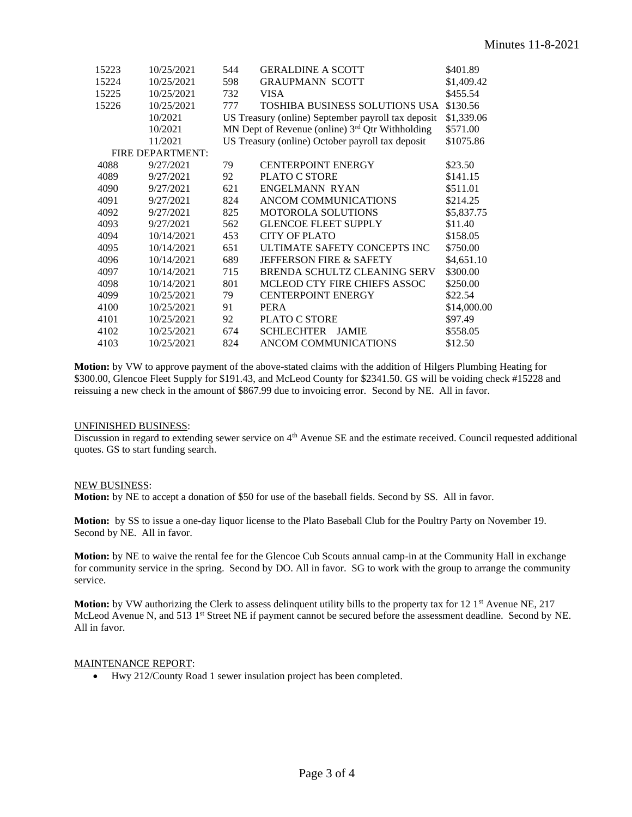| 15223 | 10/25/2021       | 544 | <b>GERALDINE A SCOTT</b>                           | \$401.89    |
|-------|------------------|-----|----------------------------------------------------|-------------|
| 15224 | 10/25/2021       | 598 | <b>GRAUPMANN SCOTT</b>                             | \$1,409.42  |
| 15225 | 10/25/2021       | 732 | <b>VISA</b>                                        | \$455.54    |
| 15226 | 10/25/2021       | 777 | <b>TOSHIBA BUSINESS SOLUTIONS USA</b>              | \$130.56    |
|       | 10/2021          |     | US Treasury (online) September payroll tax deposit | \$1,339.06  |
|       | 10/2021          |     | MN Dept of Revenue (online) $3rd$ Qtr Withholding  | \$571.00    |
|       | 11/2021          |     | US Treasury (online) October payroll tax deposit   | \$1075.86   |
|       | FIRE DEPARTMENT: |     |                                                    |             |
| 4088  | 9/27/2021        | 79  | <b>CENTERPOINT ENERGY</b>                          | \$23.50     |
| 4089  | 9/27/2021        | 92  | <b>PLATO C STORE</b>                               | \$141.15    |
| 4090  | 9/27/2021        | 621 | ENGELMANN RYAN                                     | \$511.01    |
| 4091  | 9/27/2021        | 824 | ANCOM COMMUNICATIONS                               | \$214.25    |
| 4092  | 9/27/2021        | 825 | <b>MOTOROLA SOLUTIONS</b>                          | \$5,837.75  |
| 4093  | 9/27/2021        | 562 | <b>GLENCOE FLEET SUPPLY</b>                        | \$11.40     |
| 4094  | 10/14/2021       | 453 | <b>CITY OF PLATO</b>                               | \$158.05    |
| 4095  | 10/14/2021       | 651 | ULTIMATE SAFETY CONCEPTS INC                       | \$750.00    |
| 4096  | 10/14/2021       | 689 | <b>JEFFERSON FIRE &amp; SAFETY</b>                 | \$4,651.10  |
| 4097  | 10/14/2021       | 715 | BRENDA SCHULTZ CLEANING SERV                       | \$300.00    |
| 4098  | 10/14/2021       | 801 | MCLEOD CTY FIRE CHIEFS ASSOC                       | \$250.00    |
| 4099  | 10/25/2021       | 79  | <b>CENTERPOINT ENERGY</b>                          | \$22.54     |
| 4100  | 10/25/2021       | 91  | <b>PERA</b>                                        | \$14,000.00 |
| 4101  | 10/25/2021       | 92  | <b>PLATO C STORE</b>                               | \$97.49     |
| 4102  | 10/25/2021       | 674 | <b>SCHLECHTER</b><br><b>JAMIE</b>                  | \$558.05    |
| 4103  | 10/25/2021       | 824 | ANCOM COMMUNICATIONS                               | \$12.50     |

**Motion:** by VW to approve payment of the above-stated claims with the addition of Hilgers Plumbing Heating for \$300.00, Glencoe Fleet Supply for \$191.43, and McLeod County for \$2341.50. GS will be voiding check #15228 and reissuing a new check in the amount of \$867.99 due to invoicing error. Second by NE. All in favor.

### UNFINISHED BUSINESS:

Discussion in regard to extending sewer service on  $4<sup>th</sup>$  Avenue SE and the estimate received. Council requested additional quotes. GS to start funding search.

### NEW BUSINESS:

**Motion:** by NE to accept a donation of \$50 for use of the baseball fields. Second by SS. All in favor.

**Motion:** by SS to issue a one-day liquor license to the Plato Baseball Club for the Poultry Party on November 19. Second by NE. All in favor.

**Motion:** by NE to waive the rental fee for the Glencoe Cub Scouts annual camp-in at the Community Hall in exchange for community service in the spring. Second by DO. All in favor. SG to work with the group to arrange the community service.

**Motion:** by VW authorizing the Clerk to assess delinquent utility bills to the property tax for 12 1<sup>st</sup> Avenue NE, 217 McLeod Avenue N, and 513 1<sup>st</sup> Street NE if payment cannot be secured before the assessment deadline. Second by NE. All in favor.

### MAINTENANCE REPORT:

• Hwy 212/County Road 1 sewer insulation project has been completed.